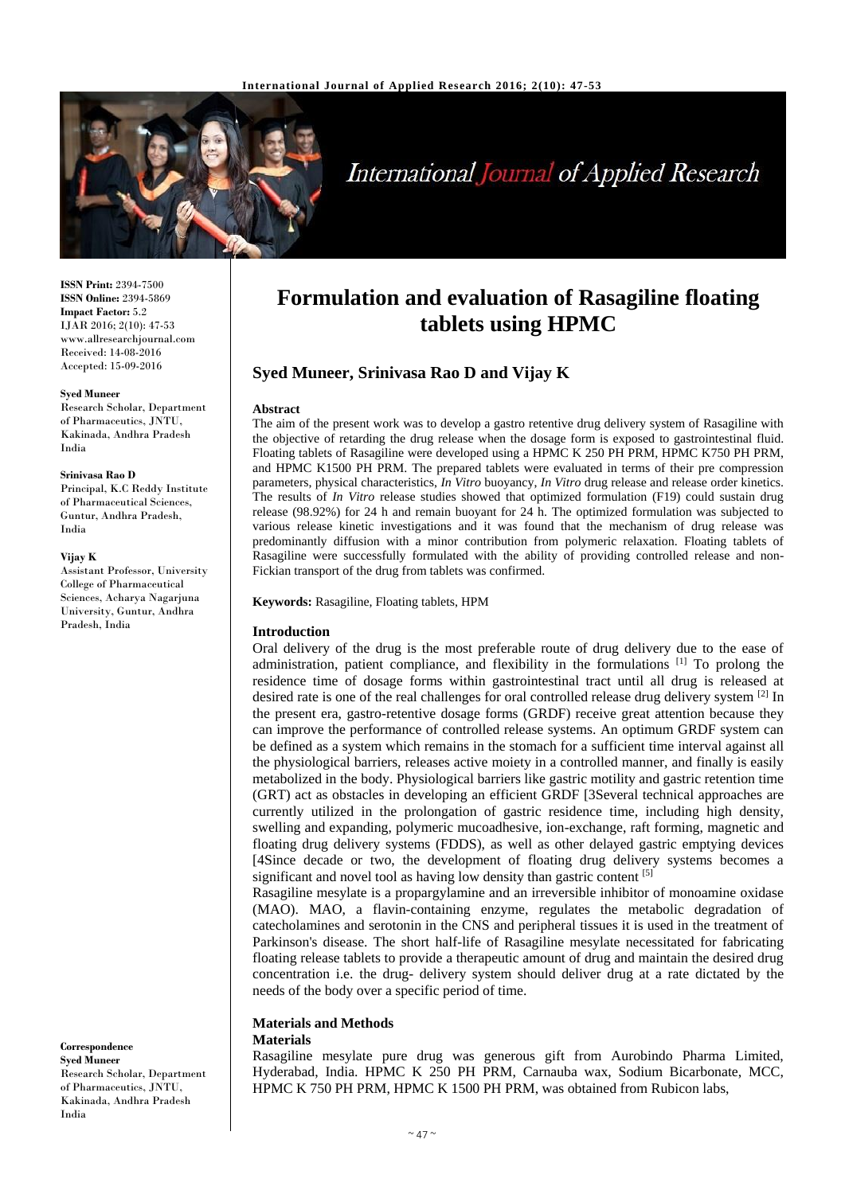

# **International Journal of Applied Research**

**ISSN Print:** 2394-7500 **ISSN Online:** 2394-5869 **Impact Factor:** 5.2 IJAR 2016; 2(10): 47-53 www.allresearchjournal.com Received: 14-08-2016 Accepted: 15-09-2016

#### **Syed Muneer**

Research Scholar, Department of Pharmaceutics, JNTU, Kakinada, Andhra Pradesh India

#### **Srinivasa Rao D**

Principal, K.C Reddy Institute of Pharmaceutical Sciences, Guntur, Andhra Pradesh, India

#### **Vijay K**

Assistant Professor, University College of Pharmaceutical Sciences, Acharya Nagarjuna University, Guntur, Andhra Pradesh, India

**Correspondence Syed Muneer** Research Scholar, Department of Pharmaceutics, JNTU, Kakinada, Andhra Pradesh India

## **Formulation and evaluation of Rasagiline floating tablets using HPMC**

## **Syed Muneer, Srinivasa Rao D and Vijay K**

#### **Abstract**

The aim of the present work was to develop a gastro retentive drug delivery system of Rasagiline with the objective of retarding the drug release when the dosage form is exposed to gastrointestinal fluid. Floating tablets of Rasagiline were developed using a HPMC K 250 PH PRM, HPMC K750 PH PRM, and HPMC K1500 PH PRM. The prepared tablets were evaluated in terms of their pre compression parameters, physical characteristics, *In Vitro* buoyancy, *In Vitro* drug release and release order kinetics. The results of *In Vitro* release studies showed that optimized formulation (F19) could sustain drug release (98.92%) for 24 h and remain buoyant for 24 h. The optimized formulation was subjected to various release kinetic investigations and it was found that the mechanism of drug release was predominantly diffusion with a minor contribution from polymeric relaxation. Floating tablets of Rasagiline were successfully formulated with the ability of providing controlled release and non-Fickian transport of the drug from tablets was confirmed.

**Keywords:** Rasagiline, Floating tablets, HPM

#### **Introduction**

Oral delivery of the drug is the most preferable route of drug delivery due to the ease of administration, patient compliance, and flexibility in the formulations  $\left[1\right]$  To prolong the residence time of dosage forms within gastrointestinal tract until all drug is released at desired rate is one of the real challenges for oral controlled release drug delivery system <sup>[2]</sup> In the present era, gastro-retentive dosage forms (GRDF) receive great attention because they can improve the performance of controlled release systems. An optimum GRDF system can be defined as a system which remains in the stomach for a sufficient time interval against all the physiological barriers, releases active moiety in a controlled manner, and finally is easily metabolized in the body. Physiological barriers like gastric motility and gastric retention time (GRT) act as obstacles in developing an efficient GRDF [3Several technical approaches are currently utilized in the prolongation of gastric residence time, including high density, swelling and expanding, polymeric mucoadhesive, ion-exchange, raft forming, magnetic and floating drug delivery systems (FDDS), as well as other delayed gastric emptying devices [4Since decade or two, the development of floating drug delivery systems becomes a significant and novel tool as having low density than gastric content [5]

Rasagiline mesylate is a propargylamine and an irreversible inhibitor of monoamine oxidase (MAO). MAO, a flavin-containing enzyme, regulates the metabolic degradation of catecholamines and serotonin in the CNS and peripheral tissues it is used in the treatment of Parkinson's disease. The short half-life of Rasagiline mesylate necessitated for fabricating floating release tablets to provide a therapeutic amount of drug and maintain the desired drug concentration i.e. the drug- delivery system should deliver drug at a rate dictated by the needs of the body over a specific period of time.

#### **Materials and Methods Materials**

Rasagiline mesylate pure drug was generous gift from Aurobindo Pharma Limited, Hyderabad, India. HPMC K 250 PH PRM, Carnauba wax, Sodium Bicarbonate, MCC, HPMC K 750 PH PRM, HPMC K 1500 PH PRM, was obtained from Rubicon labs,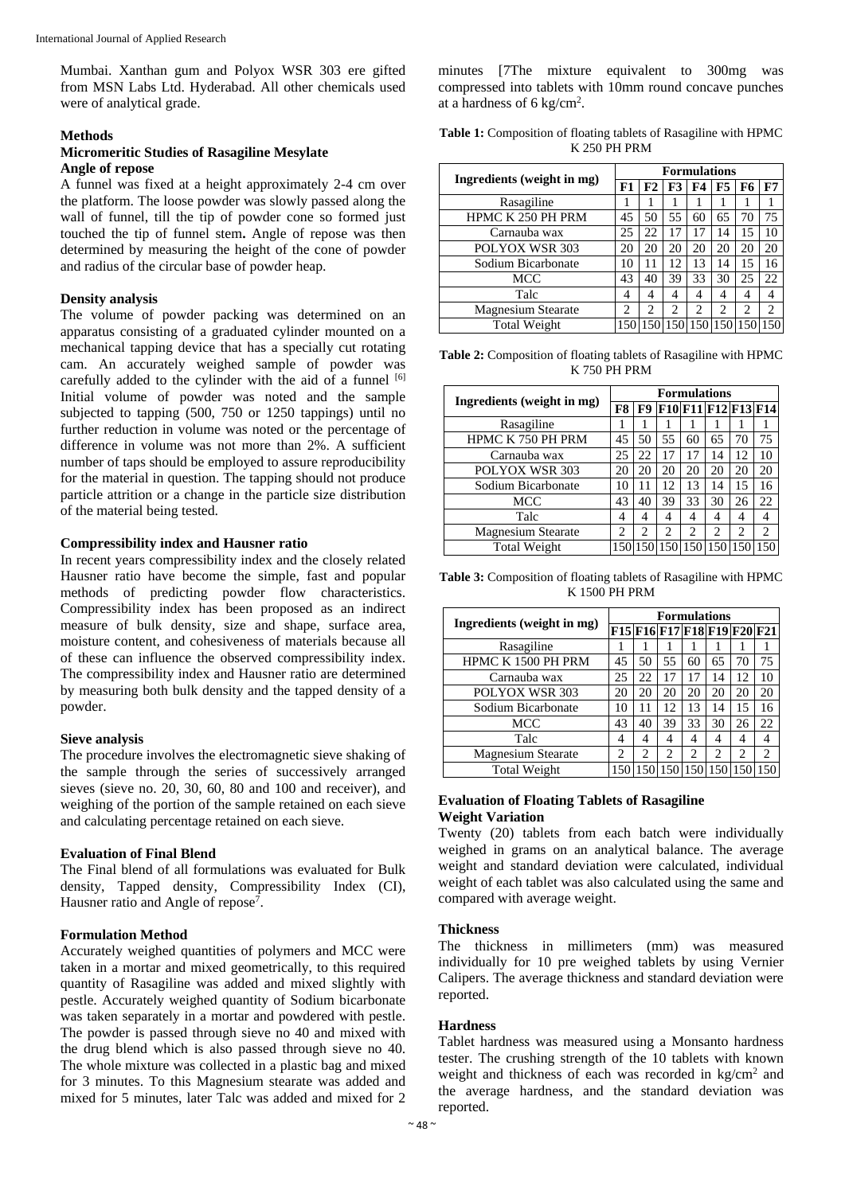Mumbai. Xanthan gum and Polyox WSR 303 ere gifted from MSN Labs Ltd. Hyderabad. All other chemicals used were of analytical grade.

#### **Methods**

#### **Micromeritic Studies of Rasagiline Mesylate Angle of repose**

A funnel was fixed at a height approximately 2-4 cm over the platform. The loose powder was slowly passed along the wall of funnel, till the tip of powder cone so formed just touched the tip of funnel stem**.** Angle of repose was then determined by measuring the height of the cone of powder and radius of the circular base of powder heap.

#### **Density analysis**

The volume of powder packing was determined on an apparatus consisting of a graduated cylinder mounted on a mechanical tapping device that has a specially cut rotating cam. An accurately weighed sample of powder was carefully added to the cylinder with the aid of a funnel [6] Initial volume of powder was noted and the sample subjected to tapping (500, 750 or 1250 tappings) until no further reduction in volume was noted or the percentage of difference in volume was not more than 2%. A sufficient number of taps should be employed to assure reproducibility for the material in question. The tapping should not produce particle attrition or a change in the particle size distribution of the material being tested.

#### **Compressibility index and Hausner ratio**

In recent years compressibility index and the closely related Hausner ratio have become the simple, fast and popular methods of predicting powder flow characteristics. Compressibility index has been proposed as an indirect measure of bulk density, size and shape, surface area, moisture content, and cohesiveness of materials because all of these can influence the observed compressibility index. The compressibility index and Hausner ratio are determined by measuring both bulk density and the tapped density of a powder.

#### **Sieve analysis**

The procedure involves the electromagnetic sieve shaking of the sample through the series of successively arranged sieves (sieve no. 20, 30, 60, 80 and 100 and receiver), and weighing of the portion of the sample retained on each sieve and calculating percentage retained on each sieve.

## **Evaluation of Final Blend**

The Final blend of all formulations was evaluated for Bulk density, Tapped density, Compressibility Index (CI), Hausner ratio and Angle of repose<sup>7</sup>.

#### **Formulation Method**

Accurately weighed quantities of polymers and MCC were taken in a mortar and mixed geometrically, to this required quantity of Rasagiline was added and mixed slightly with pestle. Accurately weighed quantity of Sodium bicarbonate was taken separately in a mortar and powdered with pestle. The powder is passed through sieve no 40 and mixed with the drug blend which is also passed through sieve no 40. The whole mixture was collected in a plastic bag and mixed for 3 minutes. To this Magnesium stearate was added and mixed for 5 minutes, later Talc was added and mixed for 2 minutes [7The mixture equivalent to 300mg was compressed into tablets with 10mm round concave punches at a hardness of 6 kg/cm<sup>2</sup> .

**Table 1:** Composition of floating tablets of Rasagiline with HPMC K 250 PH PRM

| Ingredients (weight in mg) |            | <b>Formulations</b> |    |                |    |                 |                |  |  |
|----------------------------|------------|---------------------|----|----------------|----|-----------------|----------------|--|--|
|                            | ${\bf F1}$ | F2                  | F3 | F4             | F5 | F6              | F7             |  |  |
| Rasagiline                 |            |                     |    |                |    |                 |                |  |  |
| HPMC K 250 PH PRM          | 45         | 50                  | 55 | 60             | 65 | 70              | 75             |  |  |
| Carnauba wax               |            | 22                  |    | 17             | 14 | 15              | 10             |  |  |
| POLYOX WSR 303             |            | 20                  | 20 | 20             | 20 | 20              | 20             |  |  |
| Sodium Bicarbonate         |            | 11                  | 12 | 13             | 14 | 15              | 16             |  |  |
| MCC                        |            | 40                  | 39 | 33             | 30 | 25              | 22             |  |  |
| Talc                       |            | 4                   |    | 4              | 4  | 4               | 4              |  |  |
| <b>Magnesium Stearate</b>  |            | $\overline{c}$      | 2  | $\overline{c}$ | 2  | 2               | $\overline{c}$ |  |  |
| Total Weight               |            |                     |    |                |    | 150 150 150 150 |                |  |  |

**Table 2:** Composition of floating tablets of Rasagiline with HPMC K 750 PH PRM

| Ingredients (weight in mg) |    | <b>Formulations</b> |                |    |                                         |                |                               |  |  |
|----------------------------|----|---------------------|----------------|----|-----------------------------------------|----------------|-------------------------------|--|--|
|                            | F8 |                     |                |    |                                         |                | <b>F9 F10 F11 F12 F13 F14</b> |  |  |
| Rasagiline                 |    |                     |                |    |                                         |                |                               |  |  |
| HPMC K 750 PH PRM          | 45 | 50                  | 55             | 60 | 65                                      | 70             | 75                            |  |  |
| Carnauba wax               |    | 22                  | 17             |    | 14                                      | 12             | 10                            |  |  |
| POLYOX WSR 303             |    | 20                  | 20             | 20 | 20                                      | 20             | 20                            |  |  |
| Sodium Bicarbonate         |    |                     | 12             | 13 | 14                                      | 15             | 16                            |  |  |
| MCC                        |    | 40                  | 39             | 33 | 30                                      | 26             | 22                            |  |  |
| Talc                       |    | 4                   | 4              | 4  | 4                                       | 4              | 4                             |  |  |
| <b>Magnesium Stearate</b>  |    | 2                   | $\overline{c}$ | 2  | 2                                       | $\mathfrak{D}$ | $\mathfrak{D}$                |  |  |
| Total Weight               |    |                     |                |    | 150   150   150   150   150   150   150 |                |                               |  |  |

**Table 3:** Composition of floating tablets of Rasagiline with HPMC K 1500 PH PRM

| Ingredients (weight in mg) |                             | <b>Formulations</b> |                |                             |                |                                    |                             |  |  |
|----------------------------|-----------------------------|---------------------|----------------|-----------------------------|----------------|------------------------------------|-----------------------------|--|--|
|                            |                             |                     |                |                             |                | <b>F15 F16 F17 F18 F19 F20 F21</b> |                             |  |  |
| Rasagiline                 |                             |                     |                |                             |                |                                    |                             |  |  |
| HPMC K 1500 PH PRM         |                             | 50                  | 55             | 60                          | 65             | 70                                 | 75                          |  |  |
| Carnauba wax               |                             | 22                  | 17             | 17                          | 14             | 12                                 | 10                          |  |  |
| POLYOX WSR 303             |                             | 20                  | 20             | 20                          | 20             | 20                                 | 20                          |  |  |
| Sodium Bicarbonate         |                             |                     | 12             | 13                          | 14             | 15                                 | 16                          |  |  |
| MCC                        |                             | 40                  | 39             | 33                          | 30             | 26                                 | 22                          |  |  |
| Talc                       |                             |                     | 4              | 4                           |                | 4                                  | 4                           |  |  |
| <b>Magnesium Stearate</b>  | $\mathcal{D}_{\mathcal{L}}$ | $\mathfrak{D}$      | $\mathfrak{D}$ | $\mathcal{D}_{\mathcal{L}}$ | $\mathfrak{D}$ | $\mathfrak{D}$                     | $\mathcal{D}_{\mathcal{L}}$ |  |  |
| <b>Total Weight</b>        | 150                         | 150                 |                |                             |                | 150 150 150 150                    |                             |  |  |

#### **Evaluation of Floating Tablets of Rasagiline Weight Variation**

Twenty (20) tablets from each batch were individually weighed in grams on an analytical balance. The average weight and standard deviation were calculated, individual weight of each tablet was also calculated using the same and compared with average weight.

#### **Thickness**

The thickness in millimeters (mm) was measured individually for 10 pre weighed tablets by using Vernier Calipers. The average thickness and standard deviation were reported.

#### **Hardness**

Tablet hardness was measured using a Monsanto hardness tester. The crushing strength of the 10 tablets with known weight and thickness of each was recorded in kg/cm<sup>2</sup> and the average hardness, and the standard deviation was reported.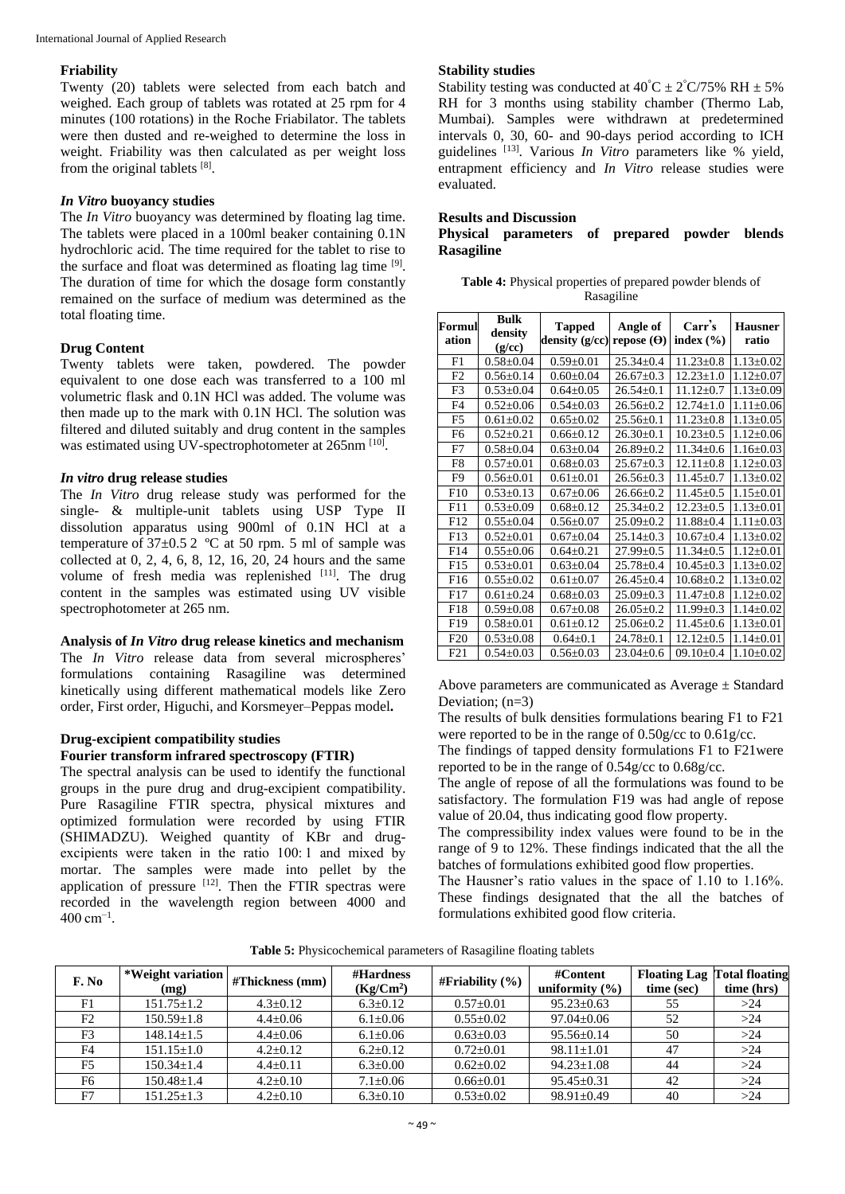## **Friability**

Twenty (20) tablets were selected from each batch and weighed. Each group of tablets was rotated at 25 rpm for 4 minutes (100 rotations) in the Roche Friabilator. The tablets were then dusted and re-weighed to determine the loss in weight. Friability was then calculated as per weight loss from the original tablets [8].

## *In Vitro* **buoyancy studies**

The *In Vitro* buoyancy was determined by floating lag time. The tablets were placed in a 100ml beaker containing 0.1N hydrochloric acid. The time required for the tablet to rise to the surface and float was determined as floating lag time [9]. The duration of time for which the dosage form constantly remained on the surface of medium was determined as the total floating time.

## **Drug Content**

Twenty tablets were taken, powdered. The powder equivalent to one dose each was transferred to a 100 ml volumetric flask and 0.1N HCl was added. The volume was then made up to the mark with 0.1N HCl. The solution was filtered and diluted suitably and drug content in the samples was estimated using UV-spectrophotometer at 265nm [10].

## *In vitro* **drug release studies**

The *In Vitro* drug release study was performed for the single- & multiple-unit tablets using USP Type II dissolution apparatus using 900ml of 0.1N HCl at a temperature of  $37\pm0.5$  2 °C at 50 rpm. 5 ml of sample was collected at 0, 2, 4, 6, 8, 12, 16, 20, 24 hours and the same volume of fresh media was replenished [11]. The drug content in the samples was estimated using UV visible spectrophotometer at 265 nm.

## **Analysis of** *In Vitro* **drug release kinetics and mechanism**

The *In Vitro* release data from several microspheres' formulations containing Rasagiline was determined kinetically using different mathematical models like Zero order, First order, Higuchi, and Korsmeyer–Peppas model**.** 

#### **Drug-excipient compatibility studies Fourier transform infrared spectroscopy (FTIR)**

The spectral analysis can be used to identify the functional groups in the pure drug and drug-excipient compatibility. Pure Rasagiline FTIR spectra, physical mixtures and optimized formulation were recorded by using FTIR (SHIMADZU). Weighed quantity of KBr and drugexcipients were taken in the ratio 100: 1 and mixed by mortar. The samples were made into pellet by the application of pressure  $^{[12]}$ . Then the FTIR spectras were recorded in the wavelength region between 4000 and 400 cm−1 .

## **Stability studies**

Stability testing was conducted at  $40^{\circ}C \pm 2^{\circ}C/75\%$  RH  $\pm$  5% RH for 3 months using stability chamber (Thermo Lab, Mumbai). Samples were withdrawn at predetermined intervals 0, 30, 60- and 90-days period according to ICH guidelines [13]. Various *In Vitro* parameters like % yield, entrapment efficiency and *In Vitro* release studies were evaluated.

## **Results and Discussion**

## **Physical parameters of prepared powder blends Rasagiline**

| <b>Table 4:</b> Physical properties of prepared powder blends of |
|------------------------------------------------------------------|
| Rasagiline                                                       |

| Formul<br>ation | Bulk<br>density<br>(g/cc) | <b>Tapped</b><br>density $(g/cc)$ | Angle of<br>repose $(\Theta)$ | Carr's<br>index $(\% )$ | <b>Hausner</b><br>ratio |
|-----------------|---------------------------|-----------------------------------|-------------------------------|-------------------------|-------------------------|
| F1              | $0.58 + 0.04$             | $0.59 \pm 0.01$                   | $25.34 \pm 0.4$               | $11.23 \pm 0.8$         | $1.13 \pm 0.02$         |
| F2              | $0.56 \pm 0.14$           | $0.60+0.04$                       | $26.67 \pm 0.3$               | $12.23 + 1.0$           | $1.12 \pm 0.07$         |
| F3              | $0.53 \pm 0.04$           | $0.64 \pm 0.05$                   | $26.54 \pm 0.1$               | $11.12 \pm 0.7$         | $1.13 \pm 0.09$         |
| F4              | $0.52+0.06$               | $0.54 \pm 0.03$                   | $26.56 \pm 0.2$               | $12.74 + 1.0$           | $1.11 \pm 0.06$         |
| F5              | $0.61 \pm 0.02$           | $0.65 \pm 0.02$                   | $25.56 + 0.1$                 | $11.23 \pm 0.8$         | $1.13 \pm 0.05$         |
| F6              | $0.52 \pm 0.21$           | $0.66 \pm 0.12$                   | $26.30 \pm 0.1$               | $10.23 + 0.5$           | $1.12 \pm 0.06$         |
| F7              | $0.58 + 0.04$             | $0.63 \pm 0.04$                   | $26.89 \pm 0.2$               | $11.34 + 0.6$           | $1.16 \pm 0.03$         |
| F8              | $0.57 \pm 0.01$           | $0.68 \pm 0.03$                   | $25.67 \pm 0.3$               | $12.11 \pm 0.8$         | $1.12 \pm 0.03$         |
| F9              | $0.56 \pm 0.01$           | $0.61 \pm 0.01$                   | $26.56 \pm 0.3$               | $11.45 \pm 0.7$         | $1.13 \pm 0.02$         |
| F10             | $0.53 \pm 0.13$           | $0.67 \pm 0.06$                   | $26.66 \pm 0.2$               | $11.45 + 0.5$           | $1.15 \pm 0.01$         |
| F11             | $0.53 \pm 0.09$           | $0.68 \pm 0.12$                   | $25.34 + 0.2$                 | $12.23+0.5$             | $1.13 \pm 0.01$         |
| F12             | $0.55 \pm 0.04$           | $0.56 \pm 0.07$                   | $25.09 \pm 0.2$               | $11.88 + 0.4$           | $1.11 \pm 0.03$         |
| F13             | $0.52 \pm 0.01$           | $0.67 \pm 0.04$                   | $25.14 \pm 0.3$               | $10.67 \pm 0.4$         | $1.13 \pm 0.02$         |
| F14             | $0.55 \pm 0.06$           | $0.64 \pm 0.21$                   | $27.99 \pm 0.5$               | $11.34 \pm 0.5$         | $1.12 \pm 0.01$         |
| F15             | $0.53 \pm 0.01$           | $0.63+0.04$                       | $25.78 \pm 0.4$               | $10.45 \pm 0.3$         | $1.13 \pm 0.02$         |
| F <sub>16</sub> | $0.55 \pm 0.02$           | $0.61 \pm 0.07$                   | $26.45+0.4$                   | $10.68 + 0.2$           | $1.13 \pm 0.02$         |
| F17             | $0.61 \pm 0.24$           | $0.68 \pm 0.03$                   | $25.09 \pm 0.3$               | $11.47 \pm 0.8$         | $1.12 \pm 0.02$         |
| F18             | $0.59 \pm 0.08$           | $0.67 \pm 0.08$                   | $26.05 \pm 0.2$               | $11.99 \pm 0.3$         | $1.14 \pm 0.02$         |
| F <sub>19</sub> | $0.58 + 0.01$             | $0.61 \pm 0.12$                   | $25.06 \pm 0.2$               | $11.45 \pm 0.6$         | $1.13 \pm 0.01$         |
| F20             | $0.53 \pm 0.08$           | $0.64 \pm 0.1$                    | $24.78 \pm 0.1$               | $12.12 \pm 0.5$         | $1.14 \pm 0.01$         |
| F21             | $0.54 \pm 0.03$           | $0.56 \pm 0.03$                   | $23.04 \pm 0.6$               | $09.10 \pm 0.4$         | $1.10\pm0.02$           |

Above parameters are communicated as Average  $\pm$  Standard Deviation: (n=3)

The results of bulk densities formulations bearing F1 to F21 were reported to be in the range of 0.50g/cc to 0.61g/cc.

The findings of tapped density formulations F1 to F21were reported to be in the range of 0.54g/cc to 0.68g/cc.

The angle of repose of all the formulations was found to be satisfactory. The formulation F19 was had angle of repose value of 20.04, thus indicating good flow property.

The compressibility index values were found to be in the range of 9 to 12%. These findings indicated that the all the batches of formulations exhibited good flow properties.

The Hausner's ratio values in the space of 1.10 to 1.16%. These findings designated that the all the batches of formulations exhibited good flow criteria.

**Table 5:** Physicochemical parameters of Rasagiline floating tablets

| F. No          | *Weight variation<br>(mg) | #Thickness (mm) | #Hardness<br>$(Kg/Cm^2)$ | $#$ Friability $(\%)$ | #Content<br>uniformity $(\% )$ | <b>Floating Lag Total floating</b><br>time (sec) | time (hrs) |
|----------------|---------------------------|-----------------|--------------------------|-----------------------|--------------------------------|--------------------------------------------------|------------|
| F1             | $151.75 \pm 1.2$          | $4.3 \pm 0.12$  | $6.3 \pm 0.12$           | $0.57 \pm 0.01$       | $95.23 \pm 0.63$               | 55                                               | >24        |
| F2             | $150.59 \pm 1.8$          | $4.4 \pm 0.06$  | $6.1 \pm 0.06$           | $0.55 \pm 0.02$       | $97.04 + 0.06$                 | 52                                               | >24        |
| F3             | $148.14 \pm 1.5$          | $4.4+0.06$      | $6.1 \pm 0.06$           | $0.63 \pm 0.03$       | $95.56 \pm 0.14$               | 50                                               | >24        |
| F <sub>4</sub> | $151.15 \pm 1.0$          | $4.2 + 0.12$    | $6.2 \pm 0.12$           | $0.72 \pm 0.01$       | $98.11 + 1.01$                 | 47                                               | >24        |
| F5             | $150.34 + 1.4$            | $4.4+0.11$      | $6.3 \pm 0.00$           | $0.62 \pm 0.02$       | $94.23 + 1.08$                 | 44                                               | >24        |
| F6             | $150.48 \pm 1.4$          | $4.2+0.10$      | $7.1 \pm 0.06$           | $0.66 \pm 0.01$       | $95.45 \pm 0.31$               | 42                                               | >24        |
| F7             | $151.25 \pm 1.3$          | $4.2+0.10$      | $6.3+0.10$               | $0.53+0.02$           | $98.91 + 0.49$                 | 40                                               | >24        |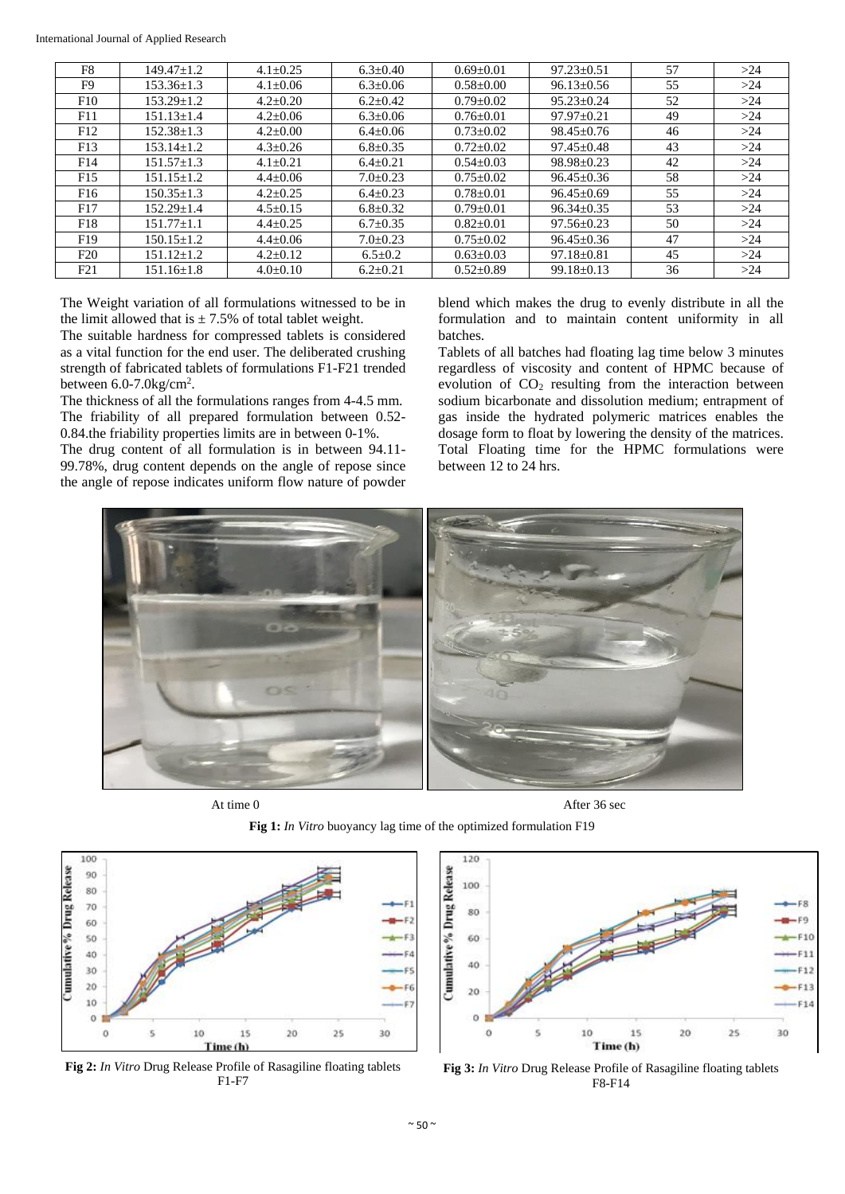| F <sub>8</sub>  | $149.47 + 1.2$   | $4.1 + 0.25$   | $6.3 \pm 0.40$ | $0.69 + 0.01$   | $97.23 + 0.51$   | 57 | >24 |
|-----------------|------------------|----------------|----------------|-----------------|------------------|----|-----|
| F9              | $153.36 + 1.3$   | $4.1 \pm 0.06$ | $6.3 \pm 0.06$ | $0.58 + 0.00$   | $96.13 \pm 0.56$ | 55 | >24 |
| F10             | $153.29 + 1.2$   | $4.2 + 0.20$   | $6.2 + 0.42$   | $0.79 + 0.02$   | $95.23 + 0.24$   | 52 | >24 |
| F11             | $151.13 + 1.4$   | $4.2 + 0.06$   | $6.3+0.06$     | $0.76 + 0.01$   | $97.97+0.21$     | 49 | >24 |
| F12             | $152.38 \pm 1.3$ | $4.2 + 0.00$   | $6.4 \pm 0.06$ | $0.73 \pm 0.02$ | $98.45 + 0.76$   | 46 | >24 |
| F13             | $153.14 + 1.2$   | $4.3 + 0.26$   | $6.8 \pm 0.35$ | $0.72 + 0.02$   | $97.45 + 0.48$   | 43 | >24 |
| F <sub>14</sub> | $151.57 + 1.3$   | $4.1 + 0.21$   | $6.4+0.21$     | $0.54 + 0.03$   | $98.98 \pm 0.23$ | 42 | >24 |
| F <sub>15</sub> | $151.15 + 1.2$   | $4.4+0.06$     | $7.0+0.23$     | $0.75 + 0.02$   | $96.45 + 0.36$   | 58 | >24 |
| F <sub>16</sub> | $150.35 + 1.3$   | $4.2 + 0.25$   | $6.4 + 0.23$   | $0.78 + 0.01$   | $96.45 + 0.69$   | 55 | >24 |
| F17             | $152.29 + 1.4$   | $4.5 + 0.15$   | $6.8 + 0.32$   | $0.79 + 0.01$   | $96.34 + 0.35$   | 53 | >24 |
| F <sub>18</sub> | $151.77 + 1.1$   | $4.4 + 0.25$   | $6.7+0.35$     | $0.82 + 0.01$   | $97.56 + 0.23$   | 50 | >24 |
| F <sub>19</sub> | $150.15 + 1.2$   | $4.4+0.06$     | $7.0+0.23$     | $0.75 + 0.02$   | $96.45 \pm 0.36$ | 47 | >24 |
| F20             | $151.12 + 1.2$   | $4.2 + 0.12$   | $6.5 \pm 0.2$  | $0.63 + 0.03$   | $97.18 \pm 0.81$ | 45 | >24 |
| F21             | $151.16 \pm 1.8$ | $4.0 \pm 0.10$ | $6.2 \pm 0.21$ | $0.52 \pm 0.89$ | $99.18 \pm 0.13$ | 36 | >24 |

The Weight variation of all formulations witnessed to be in the limit allowed that is  $\pm$  7.5% of total tablet weight.

The suitable hardness for compressed tablets is considered as a vital function for the end user. The deliberated crushing strength of fabricated tablets of formulations F1-F21 trended between  $6.0$ -7.0 $\text{kg/cm}^2$ .

The thickness of all the formulations ranges from 4-4.5 mm. The friability of all prepared formulation between 0.52- 0.84.the friability properties limits are in between 0-1%.

The drug content of all formulation is in between 94.11- 99.78%, drug content depends on the angle of repose since the angle of repose indicates uniform flow nature of powder blend which makes the drug to evenly distribute in all the formulation and to maintain content uniformity in all batches.

Tablets of all batches had floating lag time below 3 minutes regardless of viscosity and content of HPMC because of evolution of  $CO<sub>2</sub>$  resulting from the interaction between sodium bicarbonate and dissolution medium; entrapment of gas inside the hydrated polymeric matrices enables the dosage form to float by lowering the density of the matrices. Total Floating time for the HPMC formulations were between 12 to 24 hrs.



At time 0 After 36 sec





**Fig 2:** *In Vitro* Drug Release Profile of Rasagiline floating tablets F1-F7



**Fig 3:** *In Vitro* Drug Release Profile of Rasagiline floating tablets F8-F14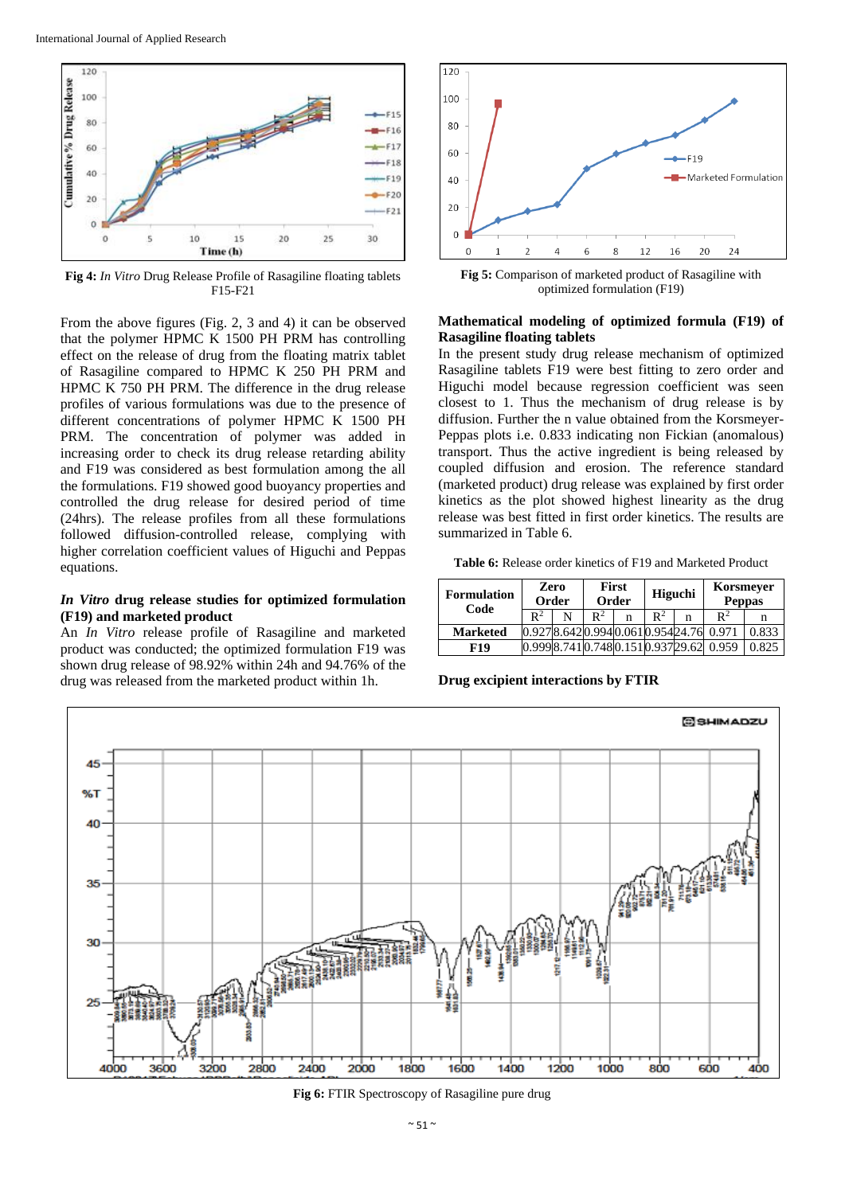

**Fig 4:** *In Vitro* Drug Release Profile of Rasagiline floating tablets F15-F21

From the above figures (Fig. 2, 3 and 4) it can be observed that the polymer HPMC K 1500 PH PRM has controlling effect on the release of drug from the floating matrix tablet of Rasagiline compared to HPMC K 250 PH PRM and HPMC K 750 PH PRM. The difference in the drug release profiles of various formulations was due to the presence of different concentrations of polymer HPMC K 1500 PH PRM. The concentration of polymer was added in increasing order to check its drug release retarding ability and F19 was considered as best formulation among the all the formulations. F19 showed good buoyancy properties and controlled the drug release for desired period of time (24hrs). The release profiles from all these formulations followed diffusion-controlled release, complying with higher correlation coefficient values of Higuchi and Peppas equations.

#### *In Vitro* **drug release studies for optimized formulation (F19) and marketed product**

An *In Vitro* release profile of Rasagiline and marketed product was conducted; the optimized formulation F19 was shown drug release of 98.92% within 24h and 94.76% of the drug was released from the marketed product within 1h.



**Fig 5:** Comparison of marketed product of Rasagiline with optimized formulation (F19)

## **Mathematical modeling of optimized formula (F19) of Rasagiline floating tablets**

In the present study drug release mechanism of optimized Rasagiline tablets F19 were best fitting to zero order and Higuchi model because regression coefficient was seen closest to 1. Thus the mechanism of drug release is by diffusion. Further the n value obtained from the Korsmeyer-Peppas plots i.e. 0.833 indicating non Fickian (anomalous) transport. Thus the active ingredient is being released by coupled diffusion and erosion. The reference standard (marketed product) drug release was explained by first order kinetics as the plot showed highest linearity as the drug release was best fitted in first order kinetics. The results are summarized in Table 6.

**Table 6:** Release order kinetics of F19 and Marketed Product

| <b>Formulation</b><br>Code |                                | Zero<br>Order |                | <b>First</b><br>Order | <b>Higuchi</b> |   | Korsmeyer<br><b>Peppas</b> |       |
|----------------------------|--------------------------------|---------------|----------------|-----------------------|----------------|---|----------------------------|-------|
|                            | $\mathbb{R}^2$                 | N             | $\mathbb{R}^2$ | n                     | $\mathbb{R}^2$ | n | $\mathbb{R}^2$             | n     |
| <b>Marketed</b>            | 0.9278.6420.9940.0610.95424.76 |               |                |                       |                |   | 0.971                      | 0.833 |
| F19                        | 0.9998.7410.7480.1510.93729.62 |               |                |                       |                |   | 0.959                      | 0.825 |

**Drug excipient interactions by FTIR**



**Fig 6:** FTIR Spectroscopy of Rasagiline pure drug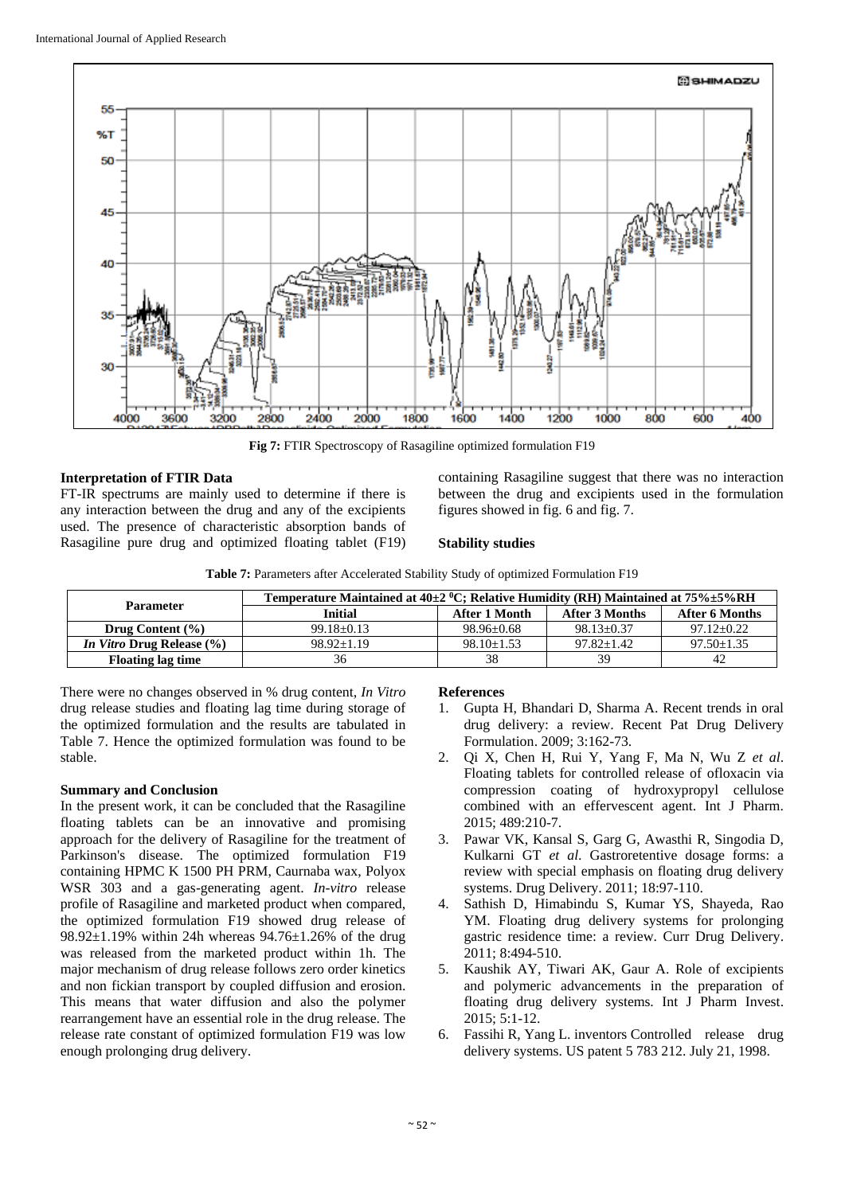

**Fig 7:** FTIR Spectroscopy of Rasagiline optimized formulation F19

## **Interpretation of FTIR Data**

FT-IR spectrums are mainly used to determine if there is any interaction between the drug and any of the excipients used. The presence of characteristic absorption bands of Rasagiline pure drug and optimized floating tablet (F19)

containing Rasagiline suggest that there was no interaction between the drug and excipients used in the formulation figures showed in fig. 6 and fig. 7.

#### **Stability studies**

| <b>Table 7: Parameters after Accelerated Stability Study of optimized Formulation F19</b> |  |
|-------------------------------------------------------------------------------------------|--|
|-------------------------------------------------------------------------------------------|--|

|                                  | Temperature Maintained at $40\pm2~^0C$ ; Relative Humidity (RH) Maintained at $75\% \pm 5\% RH$ |                |                |                  |  |  |  |  |
|----------------------------------|-------------------------------------------------------------------------------------------------|----------------|----------------|------------------|--|--|--|--|
| Parameter                        | <b>Initial</b>                                                                                  | After 1 Month  | After 3 Months | After 6 Months   |  |  |  |  |
| Drug Content $(\% )$             | $99.18 + 0.13$                                                                                  | $98.96 + 0.68$ | $98.13 + 0.37$ | $97.12 + 0.22$   |  |  |  |  |
| <i>In Vitro Drug Release</i> (%) | $98.92 + 1.19$                                                                                  | $98.10 + 1.53$ | $97.82 + 1.42$ | $97.50 \pm 1.35$ |  |  |  |  |
| <b>Floating lag time</b>         | 36                                                                                              | 38             | 39             | 42               |  |  |  |  |

There were no changes observed in % drug content, *In Vitro* drug release studies and floating lag time during storage of the optimized formulation and the results are tabulated in Table 7. Hence the optimized formulation was found to be stable.

#### **Summary and Conclusion**

In the present work, it can be concluded that the Rasagiline floating tablets can be an innovative and promising approach for the delivery of Rasagiline for the treatment of Parkinson's disease. The optimized formulation F19 containing HPMC K 1500 PH PRM, Caurnaba wax, Polyox WSR 303 and a gas-generating agent. *In-vitro* release profile of Rasagiline and marketed product when compared, the optimized formulation F19 showed drug release of 98.92±1.19% within 24h whereas 94.76±1.26% of the drug was released from the marketed product within 1h. The major mechanism of drug release follows zero order kinetics and non fickian transport by coupled diffusion and erosion. This means that water diffusion and also the polymer rearrangement have an essential role in the drug release. The release rate constant of optimized formulation F19 was low enough prolonging drug delivery.

## **References**

- 1. Gupta H, Bhandari D, Sharma A. Recent trends in oral drug delivery: a review. Recent Pat Drug Delivery Formulation. 2009; 3:162-73.
- 2. Qi X, Chen H, Rui Y, Yang F, Ma N, Wu Z *et al*. Floating tablets for controlled release of ofloxacin via compression coating of hydroxypropyl cellulose combined with an effervescent agent. Int J Pharm. 2015; 489:210-7.
- 3. Pawar VK, Kansal S, Garg G, Awasthi R, Singodia D, Kulkarni GT *et al*. Gastroretentive dosage forms: a review with special emphasis on floating drug delivery systems. Drug Delivery. 2011; 18:97-110.
- 4. Sathish D, Himabindu S, Kumar YS, Shayeda, Rao YM. Floating drug delivery systems for prolonging gastric residence time: a review. Curr Drug Delivery. 2011; 8:494-510.
- 5. Kaushik AY, Tiwari AK, Gaur A. Role of excipients and polymeric advancements in the preparation of floating drug delivery systems. Int J Pharm Invest. 2015; 5:1-12.
- 6. Fassihi R, Yang L. inventors Controlled release drug delivery systems. US patent 5 783 212. July 21, 1998.